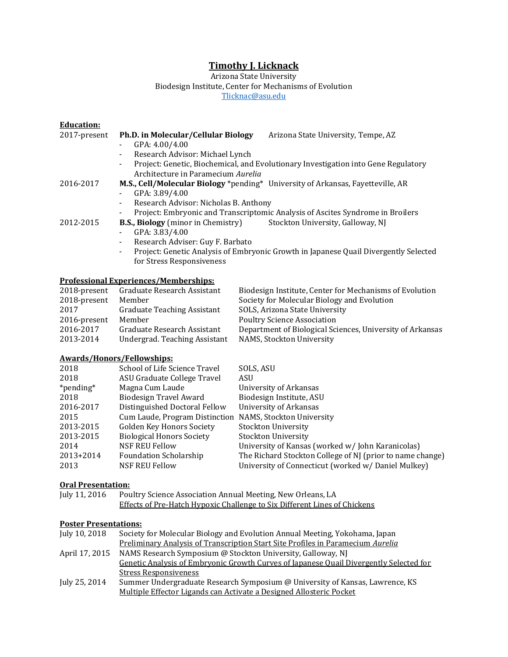# **Timothy J. Licknack**

Arizona State University Biodesign Institute, Center for Mechanisms of Evolution [Tlicknac@asu.edu](mailto:TJlickna@email.uark.edu)

**Education:** 2017-present **Ph.D. in Molecular/Cellular Biology** Arizona State University, Tempe, AZ - GPA: 4.00/4.00 - Research Advisor: Michael Lynch - Project: Genetic, Biochemical, and Evolutionary Investigation into Gene Regulatory Architecture in Paramecium *Aurelia* 2016-2017 **M.S., Cell/Molecular Biology** \*pending\* University of Arkansas, Fayetteville, AR - GPA: 3.89/4.00 - Research Advisor: Nicholas B. Anthony - Project: Embryonic and Transcriptomic Analysis of Ascites Syndrome in Broilers 2012-2015 **B.S., Biology** (minor in Chemistry) Stockton University, Galloway, NJ - GPA: 3.83/4.00 Research Adviser: Guy F. Barbato

- Project: Genetic Analysis of Embryonic Growth in Japanese Quail Divergently Selected for Stress Responsiveness

#### **Professional Experiences/Memberships:**

|              | 2018-present Graduate Research Assistant | Biodesign Institute, Center for Mechanisms of Evolution   |
|--------------|------------------------------------------|-----------------------------------------------------------|
| 2018-present | Member                                   | Society for Molecular Biology and Evolution               |
| 2017         | <b>Graduate Teaching Assistant</b>       | SOLS, Arizona State University                            |
| 2016-present | Member                                   | <b>Poultry Science Association</b>                        |
| 2016-2017    | Graduate Research Assistant              | Department of Biological Sciences, University of Arkansas |
| 2013-2014    | Undergrad. Teaching Assistant            | NAMS, Stockton University                                 |

#### **Awards/Honors/Fellowships:**

| 2018      | School of Life Science Travel    | SOLS, ASU                                                 |
|-----------|----------------------------------|-----------------------------------------------------------|
| 2018      | ASU Graduate College Travel      | ASU                                                       |
| *pending* | Magna Cum Laude                  | University of Arkansas                                    |
| 2018      | Biodesign Travel Award           | Biodesign Institute, ASU                                  |
| 2016-2017 | Distinguished Doctoral Fellow    | University of Arkansas                                    |
| 2015      | Cum Laude, Program Distinction   | NAMS, Stockton University                                 |
| 2013-2015 | Golden Key Honors Society        | Stockton University                                       |
| 2013-2015 | <b>Biological Honors Society</b> | <b>Stockton University</b>                                |
| 2014      | NSF REU Fellow                   | University of Kansas (worked w/ John Karanicolas)         |
| 2013+2014 | <b>Foundation Scholarship</b>    | The Richard Stockton College of NJ (prior to name change) |
| 2013      | NSF REU Fellow                   | University of Connecticut (worked w/ Daniel Mulkey)       |
|           |                                  |                                                           |

### **Oral Presentation:**

| July 11, 2016 | Poultry Science Association Annual Meeting, New Orleans, LA               |
|---------------|---------------------------------------------------------------------------|
|               | Effects of Pre-Hatch Hypoxic Challenge to Six Different Lines of Chickens |

### **Poster Presentations:**

| July 10, 2018 | Society for Molecular Biology and Evolution Annual Meeting, Yokohama, Japan            |  |
|---------------|----------------------------------------------------------------------------------------|--|
|               | Preliminary Analysis of Transcription Start Site Profiles in Paramecium Aurelia        |  |
|               | April 17, 2015 NAMS Research Symposium @ Stockton University, Galloway, NJ             |  |
|               | Genetic Analysis of Embryonic Growth Curves of Japanese Quail Divergently Selected for |  |
| July 25, 2014 | <b>Stress Responsiveness</b>                                                           |  |
|               | Summer Undergraduate Research Symposium @ University of Kansas, Lawrence, KS           |  |
|               | Multiple Effector Ligands can Activate a Designed Allosteric Pocket                    |  |